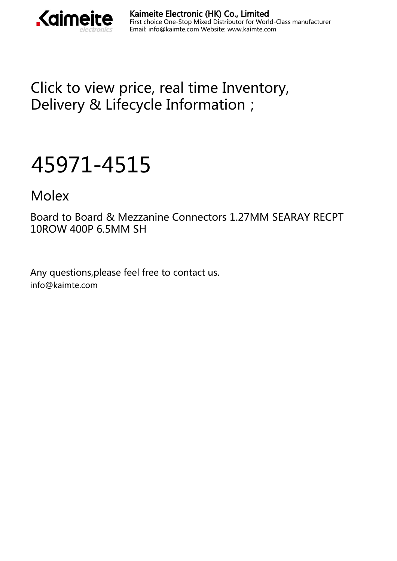

[Click to view price, real time Inventory,](https://kaimte.com/product/details/molex/45971-4515.html) [Delivery & Lifecycle Information;](https://kaimte.com/product/details/molex/45971-4515.html)

## [45971-4515](https://kaimte.com/product/details/molex/45971-4515.html)

[Molex](https://kaimte.com/manufacturers/molex.html)

Board to Board & Mezzanine Connectors 1.27MM SEARAY RECPT 10ROW 400P 6.5MM SH

Any questions,please feel free to contact us. info@kaimte.com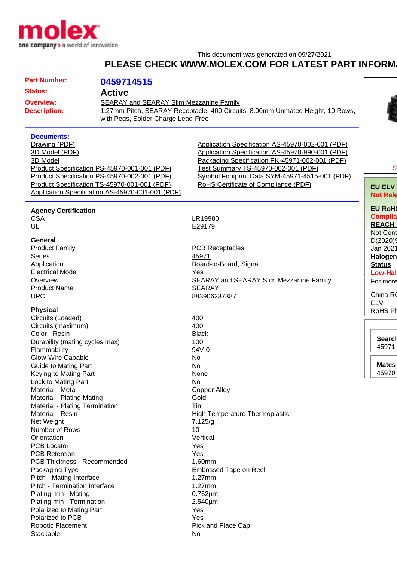

| This document was generated on 09/27/2021<br>PLEASE CHECK WWW.MOLEX.COM FOR LATEST PART INFORM.                                                                                                                                                |                                                  |                                                                                                                                                                                                                                                                                         |  |
|------------------------------------------------------------------------------------------------------------------------------------------------------------------------------------------------------------------------------------------------|--------------------------------------------------|-----------------------------------------------------------------------------------------------------------------------------------------------------------------------------------------------------------------------------------------------------------------------------------------|--|
| <b>Part Number:</b><br>Status:                                                                                                                                                                                                                 | 0459714515                                       |                                                                                                                                                                                                                                                                                         |  |
| <b>Active</b><br><b>Overview:</b><br><b>SEARAY and SEARAY Slim Mezzanine Family</b><br>1.27mm Pitch, SEARAY Receptacle, 400 Circuits, 8.00mm Unmated Height, 10 Rows,<br><b>Description:</b><br>with Pegs, Solder Charge Lead-Free             |                                                  |                                                                                                                                                                                                                                                                                         |  |
| <b>Documents:</b><br>Drawing (PDF)<br>3D Model (PDF)<br>3D Model<br>Product Specification PS-45970-001-001 (PDF)<br>Product Specification PS-45970-002-001 (PDF)<br>Product Specification TS-45970-001-001 (PDF)                               | Application Specification AS-45970-001-001 (PDF) | Application Specification AS-45970-002-001 (PDF)<br>Application Specification AS-45970-990-001 (PDF)<br>Packaging Specification PK-45971-002-001 (PDF)<br>Test Summary TS-45970-002-001 (PDF)<br>Symbol Footprint Data SYM-45971-4515-001 (PDF)<br>RoHS Certificate of Compliance (PDF) |  |
| <b>Agency Certification</b><br><b>CSA</b><br>UL                                                                                                                                                                                                |                                                  | LR19980<br>E29179                                                                                                                                                                                                                                                                       |  |
| General<br><b>Product Family</b><br><b>Series</b><br>Application<br><b>Electrical Model</b><br>Overview<br><b>Product Name</b><br><b>UPC</b>                                                                                                   |                                                  | <b>PCB Receptacles</b><br>45971<br>Board-to-Board, Signal<br>Yes<br><b>SEARAY and SEARAY Slim Mezzanine Family</b><br><b>SEARAY</b><br>883906237387                                                                                                                                     |  |
| <b>Physical</b><br>Circuits (Loaded)<br>Circuits (maximum)<br>Color - Resin<br>Durability (mating cycles max)<br>Flammability<br>Glow-Wire Capable<br>Guide to Mating Part<br>Keying to Mating Part<br>Lock to Mating Part<br>Material - Metal |                                                  | 400<br>400<br><b>Black</b><br>100<br>94V-0<br>No<br>No<br>None<br>No<br><b>Copper Alloy</b>                                                                                                                                                                                             |  |
| Material - Plating Mating<br>Material - Plating Termination<br>Material - Resin<br>Net Weight<br>Number of Rows<br>Orientation<br>PCB Locator<br><b>PCB Retention</b>                                                                          |                                                  | Gold<br>Tin<br><b>High Temperature Thermoplastic</b><br>7.125/g<br>10<br>Vertical<br>Yes<br>Yes                                                                                                                                                                                         |  |
| <b>PCB Thickness - Recommended</b><br>Packaging Type<br>Pitch - Mating Interface<br>Pitch - Termination Interface<br>Plating min - Mating<br>Plating min - Termination<br>Polarized to Mating Part<br>Polarized to PCB                         |                                                  | 1.60mm<br><b>Embossed Tape on Reel</b><br>$1.27$ mm<br>$1.27$ mm<br>$0.762 \mu m$<br>$2.540 \mu m$<br>Yes<br>Yes                                                                                                                                                                        |  |
| <b>Robotic Placement</b><br>Stackable                                                                                                                                                                                                          |                                                  | Pick and Place Cap<br>No                                                                                                                                                                                                                                                                |  |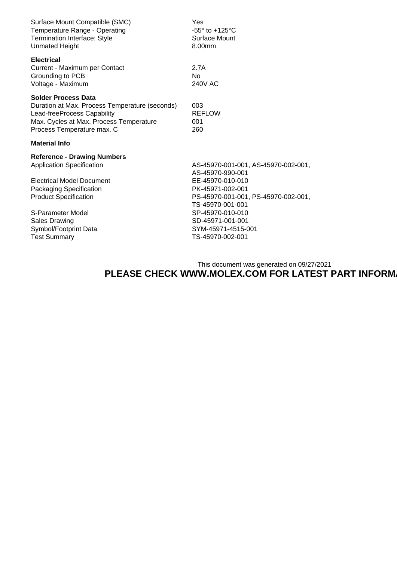| Surface Mount Compatible (SMC)<br>Temperature Range - Operating<br><b>Termination Interface: Style</b><br><b>Unmated Height</b>                                                                                                                                    | Yes<br>-55 $\degree$ to +125 $\degree$ C<br>Surface Mount<br>8.00mm                                                                                                                                                                          |  |  |  |
|--------------------------------------------------------------------------------------------------------------------------------------------------------------------------------------------------------------------------------------------------------------------|----------------------------------------------------------------------------------------------------------------------------------------------------------------------------------------------------------------------------------------------|--|--|--|
| <b>Electrical</b><br>Current - Maximum per Contact<br>Grounding to PCB<br>Voltage - Maximum                                                                                                                                                                        | 2.7A<br>N <sub>0</sub><br>240V AC                                                                                                                                                                                                            |  |  |  |
| <b>Solder Process Data</b><br>Duration at Max. Process Temperature (seconds)<br>Lead-freeProcess Capability<br>Max. Cycles at Max. Process Temperature<br>Process Temperature max. C                                                                               | 003<br><b>REFLOW</b><br>001<br>260                                                                                                                                                                                                           |  |  |  |
| <b>Material Info</b>                                                                                                                                                                                                                                               |                                                                                                                                                                                                                                              |  |  |  |
| <b>Reference - Drawing Numbers</b><br><b>Application Specification</b><br><b>Electrical Model Document</b><br>Packaging Specification<br><b>Product Specification</b><br>S-Parameter Model<br><b>Sales Drawing</b><br>Symbol/Footprint Data<br><b>Test Summary</b> | AS-45970-001-001, AS-45970-002-001,<br>AS-45970-990-001<br>EE-45970-010-010<br>PK-45971-002-001<br>PS-45970-001-001, PS-45970-002-001,<br>TS-45970-001-001<br>SP-45970-010-010<br>SD-45971-001-001<br>SYM-45971-4515-001<br>TS-45970-002-001 |  |  |  |

This document was generated on 09/27/2021 **PLEASE CHECK WWW.MOLEX.COM FOR LATEST PART INFORM**